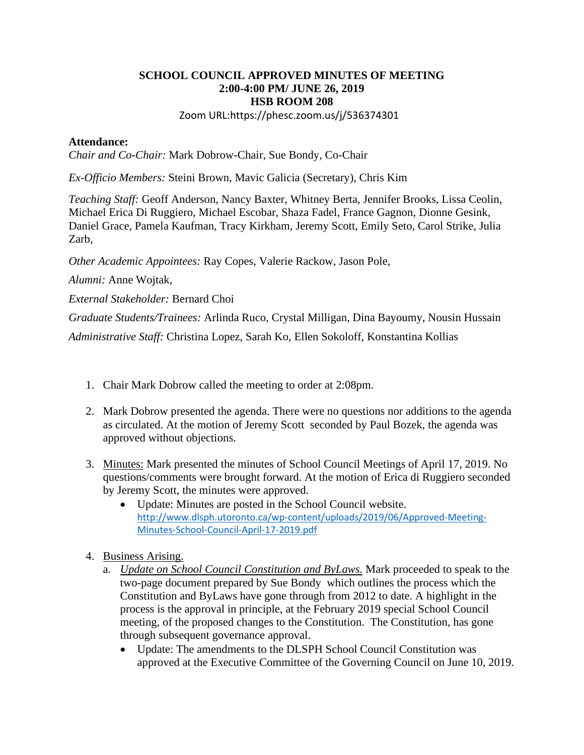## **SCHOOL COUNCIL APPROVED MINUTES OF MEETING 2:00-4:00 PM/ JUNE 26, 2019 HSB ROOM 208**

Zoom URL:https://phesc.zoom.us/j/536374301

## **Attendance:**

*Chair and Co-Chair:* Mark Dobrow-Chair, Sue Bondy, Co-Chair

*Ex-Officio Members:* Steini Brown, Mavic Galicia (Secretary), Chris Kim

*Teaching Staff:* Geoff Anderson, Nancy Baxter, Whitney Berta, Jennifer Brooks, Lissa Ceolin, Michael Erica Di Ruggiero, Michael Escobar, Shaza Fadel, France Gagnon, Dionne Gesink, Daniel Grace, Pamela Kaufman, Tracy Kirkham, Jeremy Scott, Emily Seto, Carol Strike, Julia Zarb,

*Other Academic Appointees:* Ray Copes, Valerie Rackow, Jason Pole,

*Alumni:* Anne Wojtak,

*External Stakeholder:* Bernard Choi

*Graduate Students/Trainees:* Arlinda Ruco, Crystal Milligan, Dina Bayoumy, Nousin Hussain *Administrative Staff:* Christina Lopez, Sarah Ko, Ellen Sokoloff, Konstantina Kollias

- 1. Chair Mark Dobrow called the meeting to order at 2:08pm.
- 2. Mark Dobrow presented the agenda. There were no questions nor additions to the agenda as circulated. At the motion of Jeremy Scott seconded by Paul Bozek, the agenda was approved without objections.
- 3. Minutes: Mark presented the minutes of School Council Meetings of April 17, 2019. No questions/comments were brought forward. At the motion of Erica di Ruggiero seconded by Jeremy Scott, the minutes were approved.
	- Update: Minutes are posted in the School Council website. [http://www.dlsph.utoronto.ca/wp-content/uploads/2019/06/Approved-Meeting-](http://www.dlsph.utoronto.ca/wp-content/uploads/2019/06/Approved-Meeting-Minutes-School-Council-April-17-2019.pdf)[Minutes-School-Council-April-17-2019.pdf](http://www.dlsph.utoronto.ca/wp-content/uploads/2019/06/Approved-Meeting-Minutes-School-Council-April-17-2019.pdf)
- 4. Business Arising.
	- a. *Update on School Council Constitution and ByLaws.* Mark proceeded to speak to the two-page document prepared by Sue Bondy which outlines the process which the Constitution and ByLaws have gone through from 2012 to date. A highlight in the process is the approval in principle, at the February 2019 special School Council meeting, of the proposed changes to the Constitution. The Constitution, has gone through subsequent governance approval.
		- Update: The amendments to the DLSPH School Council Constitution was approved at the Executive Committee of the Governing Council on June 10, 2019.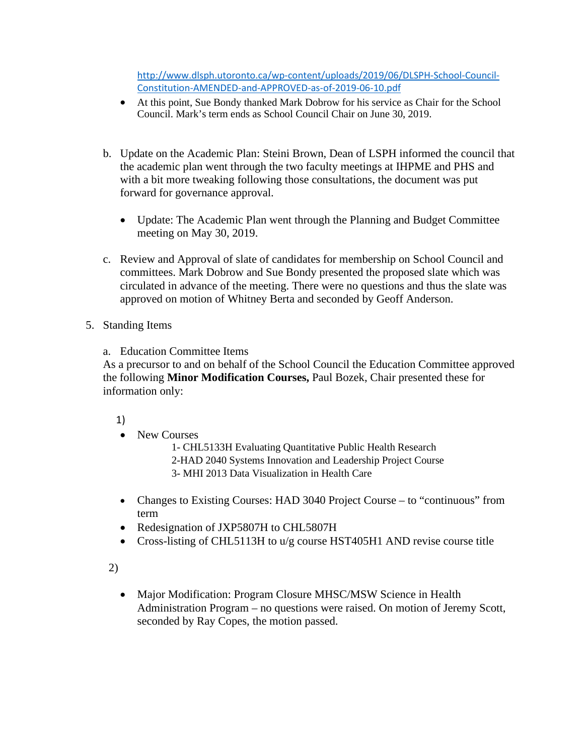[http://www.dlsph.utoronto.ca/wp-content/uploads/2019/06/DLSPH-School-Council-](http://www.dlsph.utoronto.ca/wp-content/uploads/2019/06/DLSPH-School-Council-Constitution-AMENDED-and-APPROVED-as-of-2019-06-10.pdf)[Constitution-AMENDED-and-APPROVED-as-of-2019-06-10.pdf](http://www.dlsph.utoronto.ca/wp-content/uploads/2019/06/DLSPH-School-Council-Constitution-AMENDED-and-APPROVED-as-of-2019-06-10.pdf)

- At this point, Sue Bondy thanked Mark Dobrow for his service as Chair for the School Council. Mark's term ends as School Council Chair on June 30, 2019.
- b. Update on the Academic Plan: Steini Brown, Dean of LSPH informed the council that the academic plan went through the two faculty meetings at IHPME and PHS and with a bit more tweaking following those consultations, the document was put forward for governance approval.
	- Update: The Academic Plan went through the Planning and Budget Committee meeting on May 30, 2019.
- c. Review and Approval of slate of candidates for membership on School Council and committees. Mark Dobrow and Sue Bondy presented the proposed slate which was circulated in advance of the meeting. There were no questions and thus the slate was approved on motion of Whitney Berta and seconded by Geoff Anderson.
- 5. Standing Items
	- a. Education Committee Items

As a precursor to and on behalf of the School Council the Education Committee approved the following **Minor Modification Courses,** Paul Bozek, Chair presented these for information only:

1)

• New Courses

1- CHL5133H Evaluating Quantitative Public Health Research 2-HAD 2040 Systems Innovation and Leadership Project Course 3- MHI 2013 Data Visualization in Health Care

- Changes to Existing Courses: HAD 3040 Project Course to "continuous" from term
- Redesignation of JXP5807H to CHL5807H
- Cross-listing of CHL5113H to u/g course HST405H1 AND revise course title

2)

• Major Modification: Program Closure MHSC/MSW Science in Health Administration Program – no questions were raised. On motion of Jeremy Scott, seconded by Ray Copes, the motion passed.